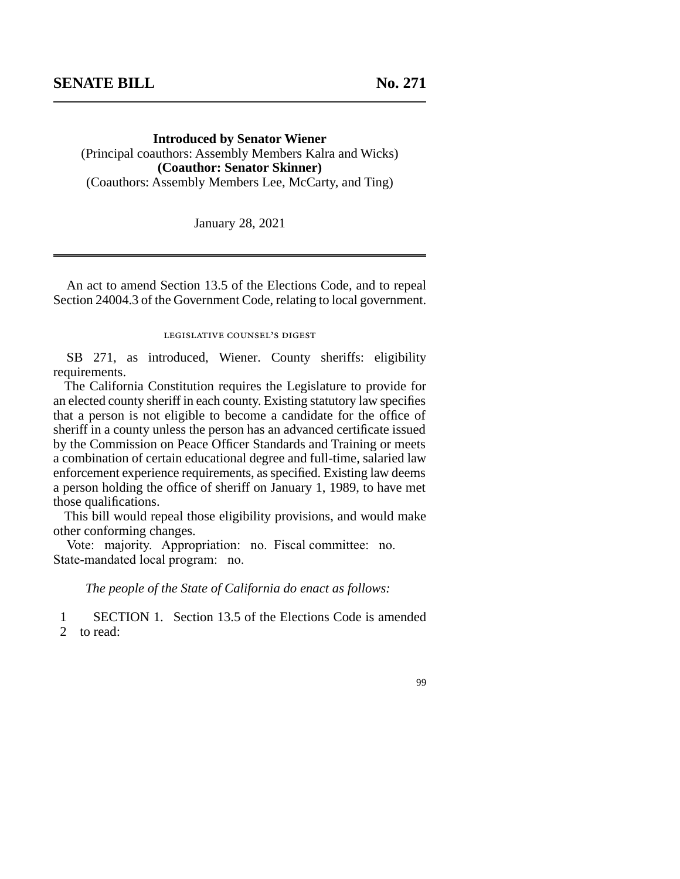**Introduced by Senator Wiener**  (Principal coauthors: Assembly Members Kalra and Wicks) **(Coauthor: Senator Skinner)**  (Coauthors: Assembly Members Lee, McCarty, and Ting)

January 28, 2021

An act to amend Section 13.5 of the Elections Code, and to repeal Section 24004.3 of the Government Code, relating to local government.

legislative counsel's digest

SB 271, as introduced, Wiener. County sheriffs: eligibility requirements.

The California Constitution requires the Legislature to provide for an elected county sheriff in each county. Existing statutory law specifies that a person is not eligible to become a candidate for the office of sheriff in a county unless the person has an advanced certificate issued by the Commission on Peace Officer Standards and Training or meets a combination of certain educational degree and full-time, salaried law enforcement experience requirements, as specified. Existing law deems a person holding the office of sheriff on January 1, 1989, to have met those qualifications.

This bill would repeal those eligibility provisions, and would make other conforming changes.

Vote: majority. Appropriation: no. Fiscal committee: no. State-mandated local program: no.

*The people of the State of California do enact as follows:* 

1 SECTION 1. Section 13.5 of the Elections Code is amended 2 to read:

99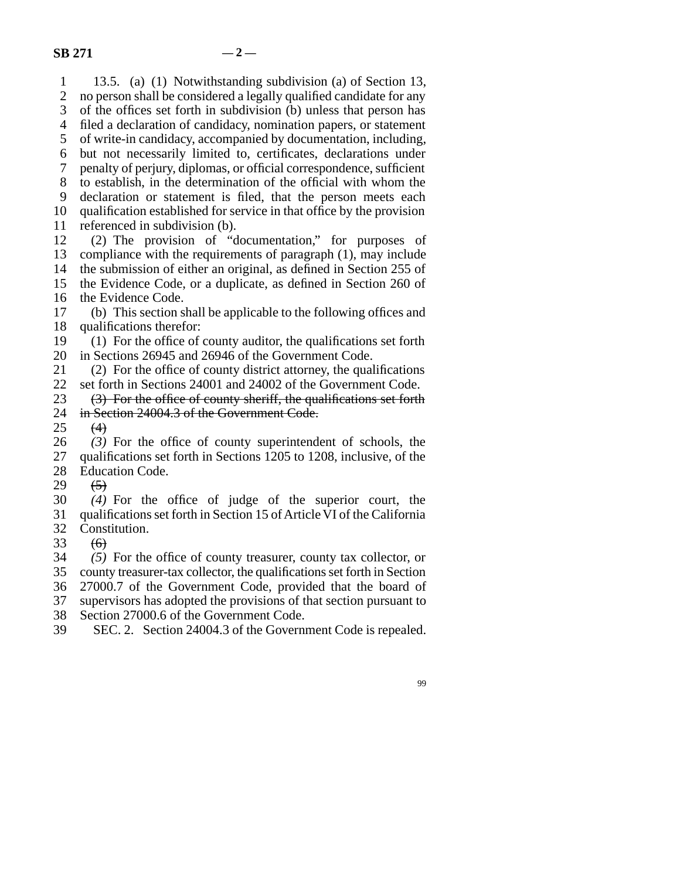1 13.5. (a) (1) Notwithstanding subdivision (a) of Section 13, 2 no person shall be considered a legally qualified candidate for any<br>3 of the offices set forth in subdivision (b) unless that person has of the offices set forth in subdivision (b) unless that person has 4 filed a declaration of candidacy, nomination papers, or statement 5 of write-in candidacy, accompanied by documentation, including, line 6 but not necessarily limited to, certificates, declarations under 7 penalty of perjury, diplomas, or official correspondence, sufficient 8 to establish, in the determination of the official with whom the 9 declaration or statement is filed, that the person meets each 10 qualification established for service in that office by the provision  $11$  referenced in subdivision (b). referenced in subdivision (b). 12 (2) The provision of "documentation," for purposes of 13 compliance with the requirements of paragraph  $(1)$ , may include 14 the submission of either an original, as defined in Section 255 of 15 the Evidence Code, or a duplicate, as defined in Section 260 of 16 the Evidence Code. lacktriangleright 17 (b) This section shall be applicable to the following offices and 18 qualifications therefor: 19 (1) For the office of county auditor, the qualifications set forth 20 in Sections 26945 and 26946 of the Government Code. 21  $(2)$  For the office of county district attorney, the qualifications

22 set forth in Sections 24001 and 24002 of the Government Code.<br>23  $(3)$  For the office of county sheriff, the qualifications set forth

(3) For the office of county sheriff, the qualifications set forth 24 in Section 24004.3 of the Government Code.<br>25  $(4)$ 

 $(4)$ 

26 (3) For the office of county superintendent of schools, the 27 qualifications set forth in Sections 1205 to 1208, inclusive, of the 28 Education Code.

29  $(5)$ 

 line 30 *(4)* For the office of judge of the superior court, the 31 qualifications set forth in Section 15 of Article VI of the California

32 Constitution.<br>33  $\left(6\right)$ 

 $\left(\theta\right)$ 

34 (5) For the office of county treasurer, county tax collector, or 35 county treasurer-tax collector, the qualifications set forth in Section

36 27000.7 of the Government Code, provided that the board of

37 supervisors has adopted the provisions of that section pursuant to

38 Section 27000.6 of the Government Code.

39 SEC. 2. Section 24004.3 of the Government Code is repealed.

99